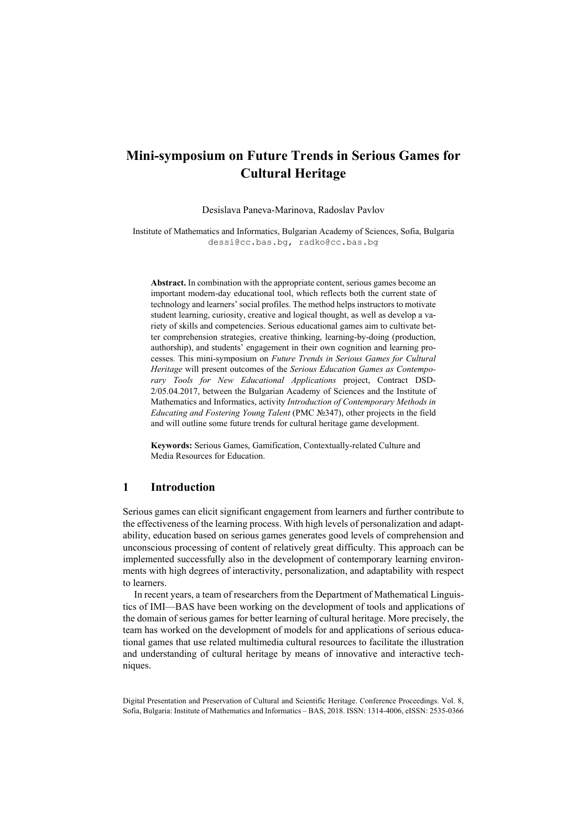# **Mini-symposium on Future Trends in Serious Games for Cultural Heritage**

Desislava Paneva-Marinova, Radoslav Pavlov

Institute of Mathematics and Informatics, Bulgarian Academy of Sciences, Sofia, Bulgaria dessi@cc.bas.bg, radko@cc.bas.bg

**Abstract.** In combination with the appropriate content, serious games become an important modern-day educational tool, which reflects both the current state of technology and learners' social profiles. The method helps instructors to motivate student learning, curiosity, creative and logical thought, as well as develop a variety of skills and competencies. Serious educational games aim to cultivate better comprehension strategies, creative thinking, learning-by-doing (production, authorship), and students' engagement in their own cognition and learning processes. This mini-symposium on *Future Trends in Serious Games for Cultural Heritage* will present outcomes of the *Serious Education Games as Contemporary Tools for New Educational Applications* project, Contract DSD-2/05.04.2017, between the Bulgarian Academy of Sciences and the Institute of Mathematics and Informatics, activity *Introduction of Contemporary Methods in Educating and Fostering Young Talent* (PMC №347), other projects in the field and will outline some future trends for cultural heritage game development.

**Keywords:** Serious Games, Gamification, Contextually-related Culture and Media Resources for Education.

### **1 Introduction**

Serious games can elicit significant engagement from learners and further contribute to the effectiveness of the learning process. With high levels of personalization and adaptability, education based on serious games generates good levels of comprehension and unconscious processing of content of relatively great difficulty. This approach can be implemented successfully also in the development of contemporary learning environments with high degrees of interactivity, personalization, and adaptability with respect to learners.

In recent years, a team of researchers from the Department of Mathematical Linguistics of IMI—BAS have been working on the development of tools and applications of the domain of serious games for better learning of cultural heritage. More precisely, the team has worked on the development of models for and applications of serious educational games that use related multimedia cultural resources to facilitate the illustration and understanding of cultural heritage by means of innovative and interactive techniques.

Digital Presentation and Preservation of Cultural and Scientific Heritage. Conference Proceedings. Vol. 8, Sofia, Bulgaria: Institute of Mathematics and Informatics – BAS, 2018. ISSN: 1314-4006, eISSN: 2535-0366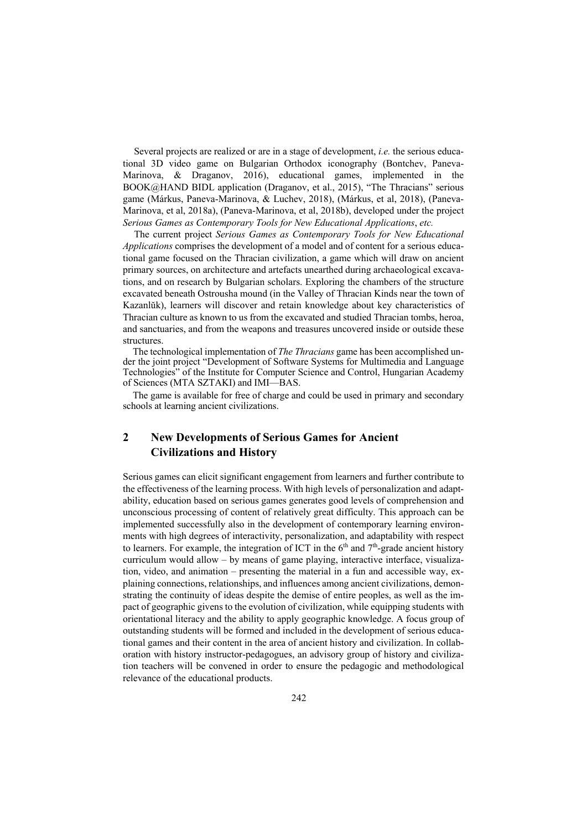Several projects are realized or are in a stage of development, *i.e.* the serious educational 3D video game on Bulgarian Orthodox iconography (Bontchev, Paneva-Marinova, & Draganov, 2016), educational games, implemented in the BOOK@HAND BIDL application (Draganov, et al., 2015), "The Thracians" serious game (Márkus, Paneva-Marinova, & Luchev, 2018), (Márkus, et al, 2018), (Paneva-Marinova, et al, 2018a), (Paneva-Marinova, et al, 2018b), developed under the project *Serious Games as Contemporary Tools for New Educational Applications*, *etc.*

The current project *Serious Games as Contemporary Tools for New Educational Applications* comprises the development of a model and of content for a serious educational game focused on the Thracian civilization, a game which will draw on ancient primary sources, on architecture and artefacts unearthed during archaeological excavations, and on research by Bulgarian scholars. Exploring the chambers of the structure excavated beneath Ostrousha mound (in the Valley of Thracian Kinds near the town of Kazanlŭk), learners will discover and retain knowledge about key characteristics of Thracian culture as known to us from the excavated and studied Thracian tombs, heroa, and sanctuaries, and from the weapons and treasures uncovered inside or outside these structures.

The technological implementation of *The Thracians* game has been accomplished under the joint project "Development of Software Systems for Multimedia and Language Technologies" of the Institute for Computer Science and Control, Hungarian Academy of Sciences (MTA SZTAKI) and IMI—BAS.

The game is available for free of charge and could be used in primary and secondary schools at learning ancient civilizations.

## **2 New Developments of Serious Games for Ancient Civilizations and History**

Serious games can elicit significant engagement from learners and further contribute to the effectiveness of the learning process. With high levels of personalization and adaptability, education based on serious games generates good levels of comprehension and unconscious processing of content of relatively great difficulty. This approach can be implemented successfully also in the development of contemporary learning environments with high degrees of interactivity, personalization, and adaptability with respect to learners. For example, the integration of ICT in the  $6<sup>th</sup>$  and  $7<sup>th</sup>$ -grade ancient history curriculum would allow – by means of game playing, interactive interface, visualization, video, and animation – presenting the material in a fun and accessible way, explaining connections, relationships, and influences among ancient civilizations, demonstrating the continuity of ideas despite the demise of entire peoples, as well as the impact of geographic givens to the evolution of civilization, while equipping students with orientational literacy and the ability to apply geographic knowledge. A focus group of outstanding students will be formed and included in the development of serious educational games and their content in the area of ancient history and civilization. In collaboration with history instructor-pedagogues, an advisory group of history and civilization teachers will be convened in order to ensure the pedagogic and methodological relevance of the educational products.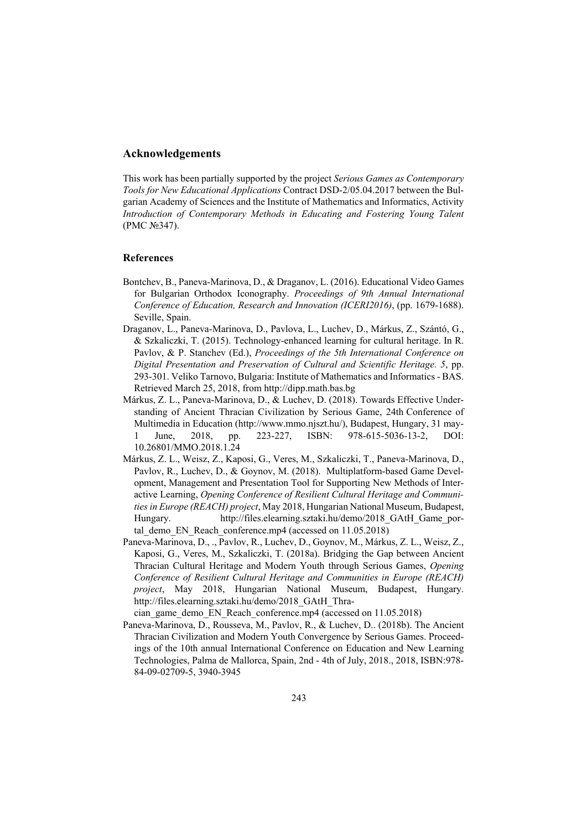### **Acknowledgements**

This work has been partially supported by the project *Serious Games as Contemporary Tools for New Educational Applications* Contract DSD-2/05.04.2017 between the Bulgarian Academy of Sciences and the Institute of Mathematics and Informatics, Activity *Introduction of Contemporary Methods in Educating and Fostering Young Talent* (PMC №347).

### **References**

- Bontchev, B., Paneva-Marinova, D., & Draganov, L. (2016). Educational Video Games for Bulgarian Orthodox Iconography. *Proceedings of 9th Annual International Conference of Education, Research and Innovation (ICERI2016)*, (pp. 1679-1688). Seville, Spain.
- Draganov, L., Paneva-Marinova, D., Pavlova, L., Luchev, D., Márkus, Z., Szántó, G., & Szkaliczki, T. (2015). Technology-enhanced learning for cultural heritage. In R. Pavlov, & P. Stanchev (Ed.), *Proceedings of the 5th International Conference on Digital Presentation and Preservation of Cultural and Scientific Heritage. 5*, pp. 293-301. Veliko Tarnovo, Bulgaria: Institute of Mathematics and Informatics - BAS. Retrieved March 25, 2018, from http://dipp.math.bas.bg
- Márkus, Z. L., Paneva-Marinova, D., & Luchev, D. (2018). Towards Effective Understanding of Ancient Thracian Civilization by Serious Game, 24th Conference of Multimedia in Education (http://www.mmo.njszt.hu/), Budapest, Hungary, 31 may-1 June, 2018, pp. 223-227, ISBN: 978-615-5036-13-2, DOI: 10.26801/MMO.2018.1.24
- Márkus, Z. L., Weisz, Z., Kaposi, G., Veres, M., Szkaliczki, T., Paneva-Marinova, D., Pavlov, R., Luchev, D., & Goynov, M. (2018). Multiplatform-based Game Development, Management and Presentation Tool for Supporting New Methods of Interactive Learning, *Opening Conference of Resilient Cultural Heritage and Communities in Europe (REACH) project*, May 2018, Hungarian National Museum, Budapest, Hungary. http://files.elearning.sztaki.hu/demo/2018 GAtH\_Game\_portal demo\_EN\_Reach\_conference.mp4 (accessed on 11.05.2018)
- Paneva-Marinova, D., ., Pavlov, R., Luchev, D., Goynov, M., Márkus, Z. L., Weisz, Z., Kaposi, G., Veres, M., Szkaliczki, T. (2018a). Bridging the Gap between Ancient Thracian Cultural Heritage and Modern Youth through Serious Games, *Opening Conference of Resilient Cultural Heritage and Communities in Europe (REACH) project*, May 2018, Hungarian National Museum, Budapest, Hungary. http://files.elearning.sztaki.hu/demo/2018\_GAtH\_Thra-

cian\_game\_demo\_EN\_Reach\_conference.mp4 (accessed on 11.05.2018)

Paneva-Marinova, D., Rousseva, M., Pavlov, R., & Luchev, D.. (2018b). The Ancient Thracian Civilization and Modern Youth Convergence by Serious Games. Proceedings of the 10th annual International Conference on Education and New Learning Technologies, Palma de Mallorca, Spain, 2nd - 4th of July, 2018., 2018, ISBN:978- 84-09-02709-5, 3940-3945